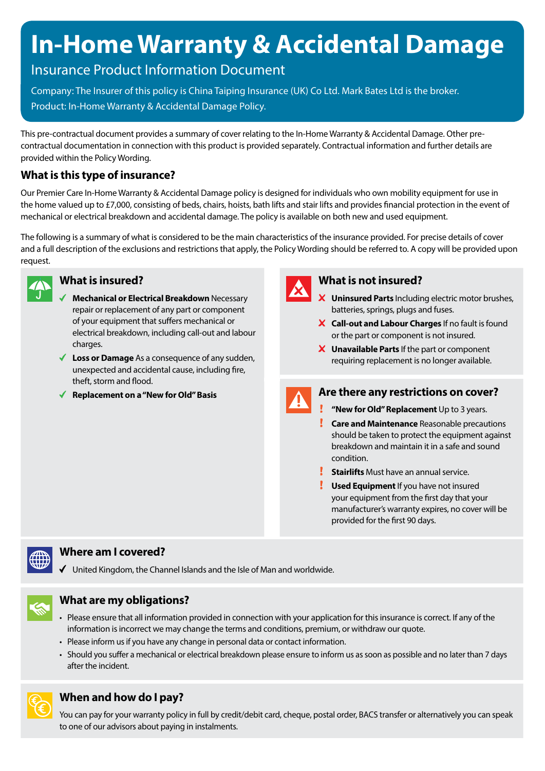# **In-Home Warranty & Accidental Damage**

## Insurance Product Information Document

Company: The Insurer of this policy is China Taiping Insurance (UK) Co Ltd. Mark Bates Ltd is the broker. Product: In-Home Warranty & Accidental Damage Policy.

This pre-contractual document provides a summary of cover relating to the In-Home Warranty & Accidental Damage. Other precontractual documentation in connection with this product is provided separately. Contractual information and further details are provided within the Policy Wording.

### **What is this type of insurance?**

Our Premier Care In-Home Warranty & Accidental Damage policy is designed for individuals who own mobility equipment for use in the home valued up to £7,000, consisting of beds, chairs, hoists, bath lifts and stair lifts and provides financial protection in the event of mechanical or electrical breakdown and accidental damage. The policy is available on both new and used equipment.

The following is a summary of what is considered to be the main characteristics of the insurance provided. For precise details of cover and a full description of the exclusions and restrictions that apply, the Policy Wording should be referred to. A copy will be provided upon request.



#### **What is insured?**

- **Mechanical or Electrical Breakdown** Necessary repair or replacement of any part or component of your equipment that suffers mechanical or electrical breakdown, including call-out and labour charges.
- **Loss or Damage** As a consequence of any sudden, unexpected and accidental cause, including fire, theft, storm and flood.
- **Replacement on a "New for Old" Basis**



#### **What is not insured?**

- **Uninsured Parts** Including electric motor brushes, batteries, springs, plugs and fuses.
- **Call-out and Labour Charges** If no fault is found or the part or component is not insured.
- **Unavailable Parts** If the part or component requiring replacement is no longer available.



#### **Are there any restrictions on cover?**

- **"New for Old" Replacement** Up to 3 years.
- **Care and Maintenance** Reasonable precautions should be taken to protect the equipment against breakdown and maintain it in a safe and sound condition.
- **Stairlifts** Must have an annual service.
- **Used Equipment** If you have not insured your equipment from the first day that your manufacturer's warranty expires, no cover will be provided for the first 90 days.



#### **Where am I covered?**

United Kingdom, the Channel Islands and the Isle of Man and worldwide.



#### **What are my obligations?**

- Please ensure that all information provided in connection with your application for this insurance is correct. If any of the information is incorrect we may change the terms and conditions, premium, or withdraw our quote.
- Please inform us if you have any change in personal data or contact information.
- Should you suffer a mechanical or electrical breakdown please ensure to inform us as soon as possible and no later than 7 days after the incident.



#### **When and how do I pay?**

You can pay for your warranty policy in full by credit/debit card, cheque, postal order, BACS transfer or alternatively you can speak to one of our advisors about paying in instalments.